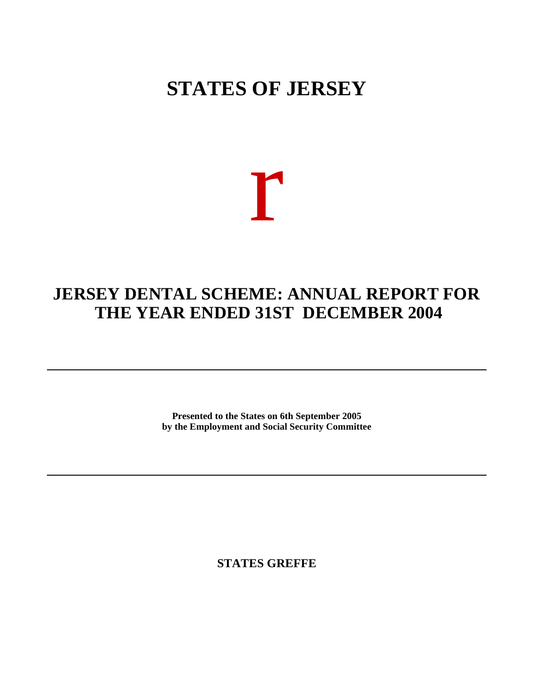## **STATES OF JERSEY**

# r

### **JERSEY DENTAL SCHEME: ANNUAL REPORT FOR THE YEAR ENDED 31ST DECEMBER 2004**

**Presented to the States on 6th September 2005 by the Employment and Social Security Committee**

**STATES GREFFE**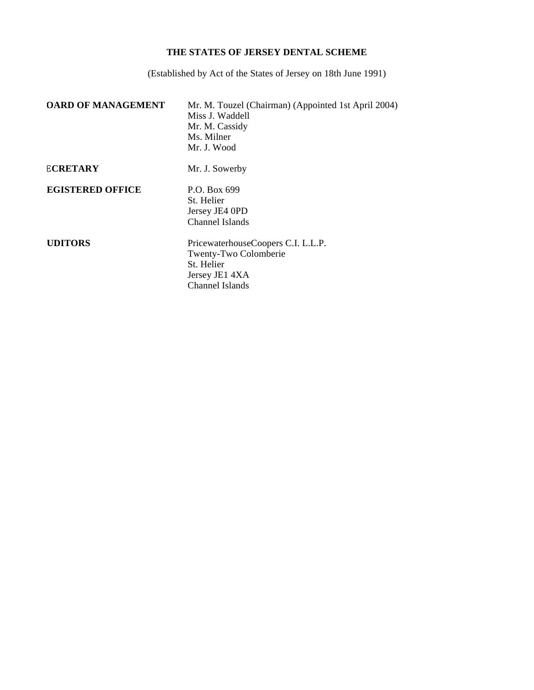(Established by Act of the States of Jersey on 18th June 1991)

| <b>OARD OF MANAGEMENT</b> | Mr. M. Touzel (Chairman) (Appointed 1st April 2004)<br>Miss J. Waddell<br>Mr. M. Cassidy<br>Ms. Milner                |
|---------------------------|-----------------------------------------------------------------------------------------------------------------------|
|                           | Mr. J. Wood                                                                                                           |
| <b>ECRETARY</b>           | Mr. J. Sowerby                                                                                                        |
| <b>EGISTERED OFFICE</b>   | P.O. Box 699<br>St. Helier<br>Jersey JE4 0PD<br>Channel Islands                                                       |
| <b>UDITORS</b>            | PricewaterhouseCoopers C.I. L.L.P.<br>Twenty-Two Colomberie<br>St. Helier<br>Jersey JE1 4XA<br><b>Channel Islands</b> |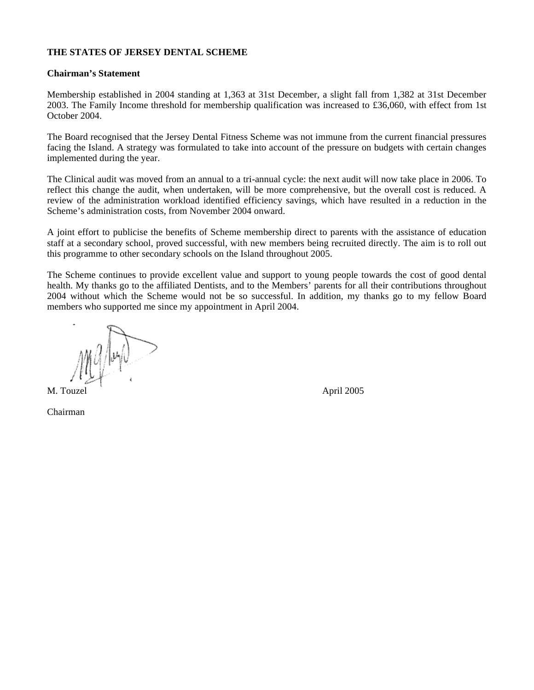#### **Chairman's Statement**

Membership established in 2004 standing at 1,363 at 31st December, a slight fall from 1,382 at 31st December 2003. The Family Income threshold for membership qualification was increased to £36,060, with effect from 1st October 2004.

The Board recognised that the Jersey Dental Fitness Scheme was not immune from the current financial pressures facing the Island. A strategy was formulated to take into account of the pressure on budgets with certain changes implemented during the year.

The Clinical audit was moved from an annual to a tri-annual cycle: the next audit will now take place in 2006. To reflect this change the audit, when undertaken, will be more comprehensive, but the overall cost is reduced. A review of the administration workload identified efficiency savings, which have resulted in a reduction in the Scheme's administration costs, from November 2004 onward.

A joint effort to publicise the benefits of Scheme membership direct to parents with the assistance of education staff at a secondary school, proved successful, with new members being recruited directly. The aim is to roll out this programme to other secondary schools on the Island throughout 2005.

The Scheme continues to provide excellent value and support to young people towards the cost of good dental health. My thanks go to the affiliated Dentists, and to the Members' parents for all their contributions throughout 2004 without which the Scheme would not be so successful. In addition, my thanks go to my fellow Board members who supported me since my appointment in April 2004.

M. Touzel **April 2005** 

Chairman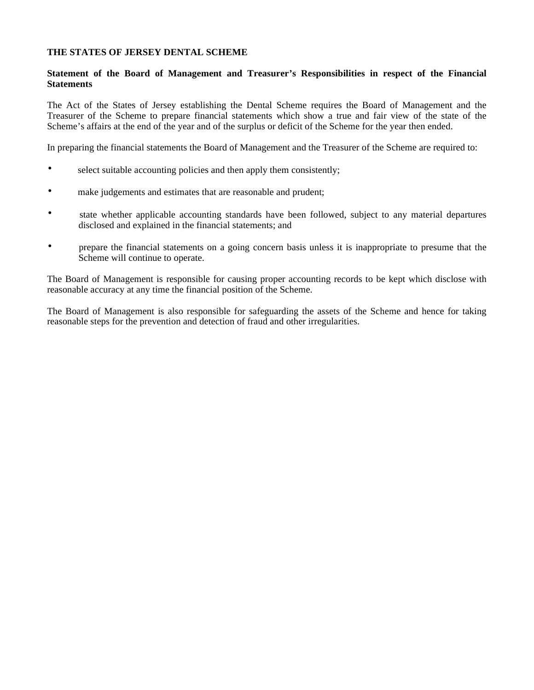#### **Statement of the Board of Management and Treasurer's Responsibilities in respect of the Financial Statements**

The Act of the States of Jersey establishing the Dental Scheme requires the Board of Management and the Treasurer of the Scheme to prepare financial statements which show a true and fair view of the state of the Scheme's affairs at the end of the year and of the surplus or deficit of the Scheme for the year then ended.

In preparing the financial statements the Board of Management and the Treasurer of the Scheme are required to:

- select suitable accounting policies and then apply them consistently;
- make judgements and estimates that are reasonable and prudent;
- state whether applicable accounting standards have been followed, subject to any material departures disclosed and explained in the financial statements; and
- prepare the financial statements on a going concern basis unless it is inappropriate to presume that the Scheme will continue to operate.

The Board of Management is responsible for causing proper accounting records to be kept which disclose with reasonable accuracy at any time the financial position of the Scheme.

The Board of Management is also responsible for safeguarding the assets of the Scheme and hence for taking reasonable steps for the prevention and detection of fraud and other irregularities.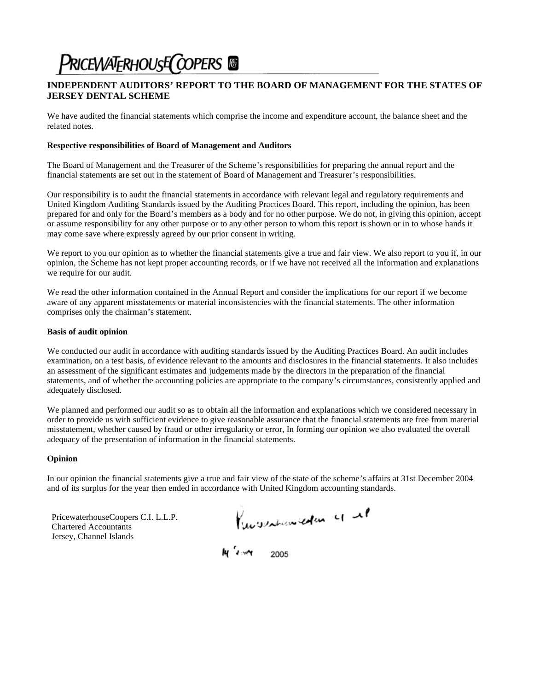## PRICEWATERHOUSE COPERS

#### **INDEPENDENT AUDITORS' REPORT TO THE BOARD OF MANAGEMENT FOR THE STATES OF JERSEY DENTAL SCHEME**

We have audited the financial statements which comprise the income and expenditure account, the balance sheet and the related notes.

#### **Respective responsibilities of Board of Management and Auditors**

The Board of Management and the Treasurer of the Scheme's responsibilities for preparing the annual report and the financial statements are set out in the statement of Board of Management and Treasurer's responsibilities.

Our responsibility is to audit the financial statements in accordance with relevant legal and regulatory requirements and United Kingdom Auditing Standards issued by the Auditing Practices Board. This report, including the opinion, has been prepared for and only for the Board's members as a body and for no other purpose. We do not, in giving this opinion, accept or assume responsibility for any other purpose or to any other person to whom this report is shown or in to whose hands it may come save where expressly agreed by our prior consent in writing.

We report to you our opinion as to whether the financial statements give a true and fair view. We also report to you if, in our opinion, the Scheme has not kept proper accounting records, or if we have not received all the information and explanations we require for our audit.

We read the other information contained in the Annual Report and consider the implications for our report if we become aware of any apparent misstatements or material inconsistencies with the financial statements. The other information comprises only the chairman's statement.

#### **Basis of audit opinion**

We conducted our audit in accordance with auditing standards issued by the Auditing Practices Board. An audit includes examination, on a test basis, of evidence relevant to the amounts and disclosures in the financial statements. It also includes an assessment of the significant estimates and judgements made by the directors in the preparation of the financial statements, and of whether the accounting policies are appropriate to the company's circumstances, consistently applied and adequately disclosed.

We planned and performed our audit so as to obtain all the information and explanations which we considered necessary in order to provide us with sufficient evidence to give reasonable assurance that the financial statements are free from material misstatement, whether caused by fraud or other irregularity or error, In forming our opinion we also evaluated the overall adequacy of the presentation of information in the financial statements.

#### **Opinion**

In our opinion the financial statements give a true and fair view of the state of the scheme's affairs at 31st December 2004 and of its surplus for the year then ended in accordance with United Kingdom accounting standards.

PricewaterhouseCoopers C.I. L.L.P. Chartered Accountants Jersey, Channel Islands

Presentancedan of all<br>14 Fevr 2005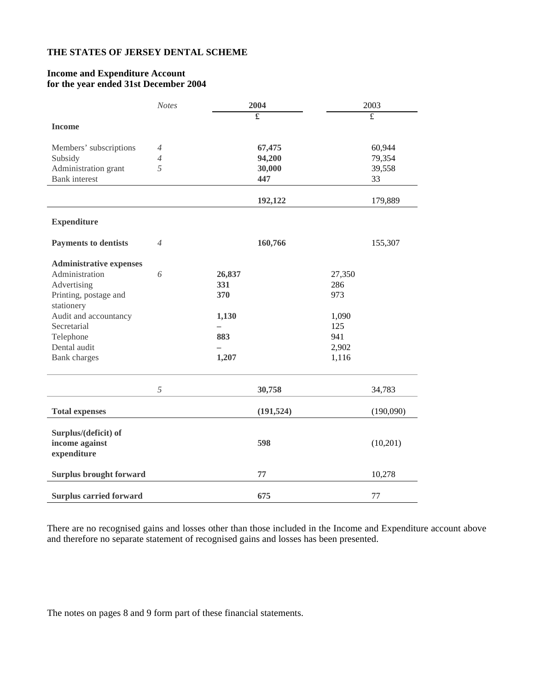#### **Income and Expenditure Account for the year ended 31st December 2004**

|                                        | <b>Notes</b>   |        | 2004       |        | 2003        |  |
|----------------------------------------|----------------|--------|------------|--------|-------------|--|
|                                        |                | £      |            |        | $\mathbf f$ |  |
| <b>Income</b>                          |                |        |            |        |             |  |
| Members' subscriptions                 | $\overline{4}$ |        | 67,475     |        | 60,944      |  |
| Subsidy                                | $\overline{4}$ |        | 94,200     |        | 79,354      |  |
| Administration grant                   | 5              |        | 30,000     |        | 39,558      |  |
| <b>Bank</b> interest                   |                |        | 447        |        | 33          |  |
|                                        |                |        | 192,122    |        | 179,889     |  |
| <b>Expenditure</b>                     |                |        |            |        |             |  |
| Payments to dentists                   | $\overline{4}$ |        | 160,766    |        | 155,307     |  |
| <b>Administrative expenses</b>         |                |        |            |        |             |  |
| Administration                         | 6              | 26,837 |            | 27,350 |             |  |
| Advertising                            |                | 331    |            | 286    |             |  |
| Printing, postage and                  |                | 370    |            | 973    |             |  |
| stationery                             |                |        |            |        |             |  |
| Audit and accountancy                  |                | 1,130  |            | 1,090  |             |  |
| Secretarial                            |                |        |            | 125    |             |  |
| Telephone                              |                | 883    |            | 941    |             |  |
| Dental audit                           |                |        |            | 2,902  |             |  |
| <b>Bank</b> charges                    |                | 1,207  |            | 1,116  |             |  |
|                                        | 5              |        | 30,758     |        | 34,783      |  |
| <b>Total expenses</b>                  |                |        | (191, 524) |        | (190,090)   |  |
|                                        |                |        |            |        |             |  |
| Surplus/(deficit) of<br>income against |                |        | 598        |        | (10,201)    |  |
| expenditure                            |                |        |            |        |             |  |
| Surplus brought forward                |                |        | 77         |        | 10,278      |  |
| <b>Surplus carried forward</b>         |                |        | 675        |        | 77          |  |

There are no recognised gains and losses other than those included in the Income and Expenditure account above and therefore no separate statement of recognised gains and losses has been presented.

The notes on pages 8 and 9 form part of these financial statements.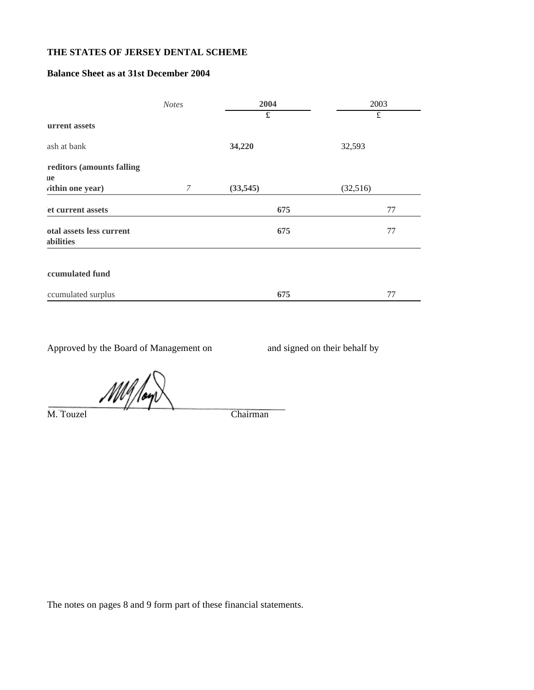#### **Balance Sheet as at 31st December 2004**

|                                       | <b>Notes</b>   | 2004                 | 2003     |  |
|---------------------------------------|----------------|----------------------|----------|--|
|                                       |                | $\pmb{\mathfrak{L}}$ | £        |  |
| urrent assets                         |                |                      |          |  |
| ash at bank                           |                | 34,220               | 32,593   |  |
| reditors (amounts falling             |                |                      |          |  |
| ue                                    |                |                      |          |  |
| vithin one year)                      | $\overline{7}$ | (33,545)             | (32,516) |  |
| et current assets                     |                | 675                  | 77       |  |
| otal assets less current<br>abilities |                | 675                  | 77       |  |
| ccumulated fund                       |                |                      |          |  |
|                                       |                |                      |          |  |
| ccumulated surplus                    |                | 675                  | 77       |  |

Approved by the Board of Management on and signed on their behalf by

Mlflow

M. Touzel Chairman

The notes on pages 8 and 9 form part of these financial statements.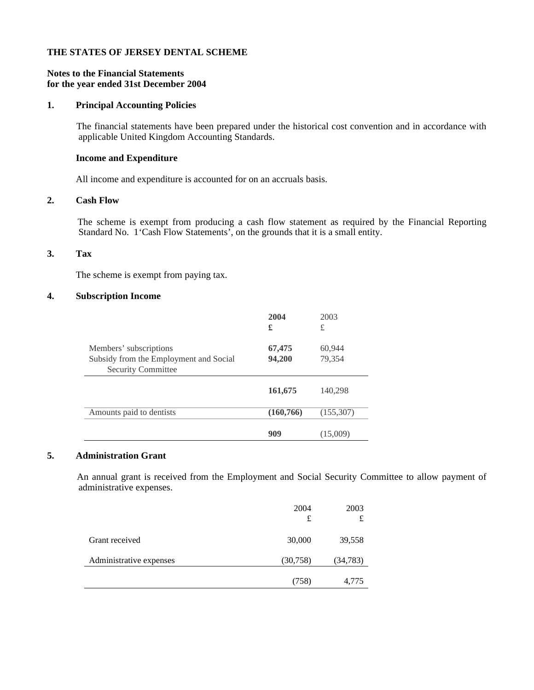#### **Notes to the Financial Statements for the year ended 31st December 2004**

#### **1. Principal Accounting Policies**

 The financial statements have been prepared under the historical cost convention and in accordance with applicable United Kingdom Accounting Standards.

#### **Income and Expenditure**

All income and expenditure is accounted for on an accruals basis.

#### **2. Cash Flow**

 The scheme is exempt from producing a cash flow statement as required by the Financial Reporting Standard No. 1'Cash Flow Statements', on the grounds that it is a small entity.

#### **3. Tax**

The scheme is exempt from paying tax.

#### **4. Subscription Income**

|                                                                                               | 2004<br>£        | 2003<br>£        |
|-----------------------------------------------------------------------------------------------|------------------|------------------|
| Members' subscriptions<br>Subsidy from the Employment and Social<br><b>Security Committee</b> | 67,475<br>94,200 | 60,944<br>79,354 |
|                                                                                               | 161,675          | 140,298          |
| Amounts paid to dentists                                                                      | (160, 766)       | (155, 307)       |
|                                                                                               | 909              | (15,009)         |

#### **5. Administration Grant**

 An annual grant is received from the Employment and Social Security Committee to allow payment of administrative expenses.

|                         | 2004<br>£ | 2003<br>£ |
|-------------------------|-----------|-----------|
| Grant received          | 30,000    | 39,558    |
| Administrative expenses | (30,758)  | (34, 783) |
|                         | (758)     | 4,775     |